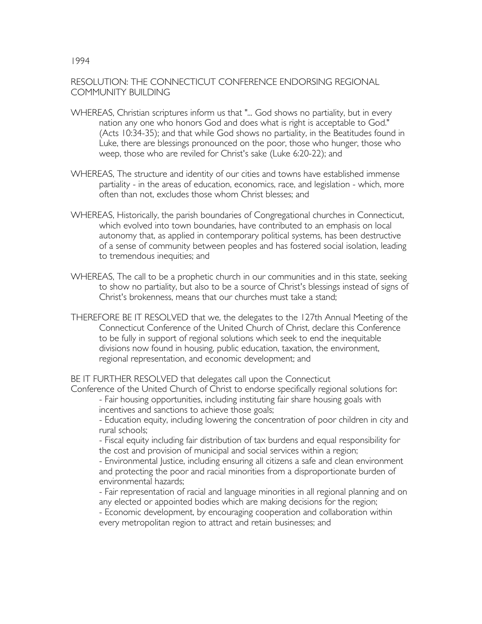## RESOLUTION: THE CONNECTICUT CONFERENCE ENDORSING REGIONAL COMMUNITY BUILDING

- WHEREAS, Christian scriptures inform us that "... God shows no partiality, but in every nation any one who honors God and does what is right is acceptable to God." (Acts 10:34-35); and that while God shows no partiality, in the Beatitudes found in Luke, there are blessings pronounced on the poor, those who hunger, those who weep, those who are reviled for Christ's sake (Luke 6:20-22); and
- WHEREAS, The structure and identity of our cities and towns have established immense partiality - in the areas of education, economics, race, and legislation - which, more often than not, excludes those whom Christ blesses; and
- WHEREAS, Historically, the parish boundaries of Congregational churches in Connecticut, which evolved into town boundaries, have contributed to an emphasis on local autonomy that, as applied in contemporary political systems, has been destructive of a sense of community between peoples and has fostered social isolation, leading to tremendous inequities; and
- WHEREAS, The call to be a prophetic church in our communities and in this state, seeking to show no partiality, but also to be a source of Christ's blessings instead of signs of Christ's brokenness, means that our churches must take a stand;
- THEREFORE BE IT RESOLVED that we, the delegates to the 127th Annual Meeting of the Connecticut Conference of the United Church of Christ, declare this Conference to be fully in support of regional solutions which seek to end the inequitable divisions now found in housing, public education, taxation, the environment, regional representation, and economic development; and

BE IT FURTHER RESOLVED that delegates call upon the Connecticut

Conference of the United Church of Christ to endorse specifically regional solutions for: - Fair housing opportunities, including instituting fair share housing goals with incentives and sanctions to achieve those goals;

- Education equity, including lowering the concentration of poor children in city and rural schools;

- Fiscal equity including fair distribution of tax burdens and equal responsibility for the cost and provision of municipal and social services within a region;

- Environmental Justice, including ensuring all citizens a safe and clean environment and protecting the poor and racial minorities from a disproportionate burden of environmental hazards;

- Fair representation of racial and language minorities in all regional planning and on any elected or appointed bodies which are making decisions for the region;

- Economic development, by encouraging cooperation and collaboration within every metropolitan region to attract and retain businesses; and